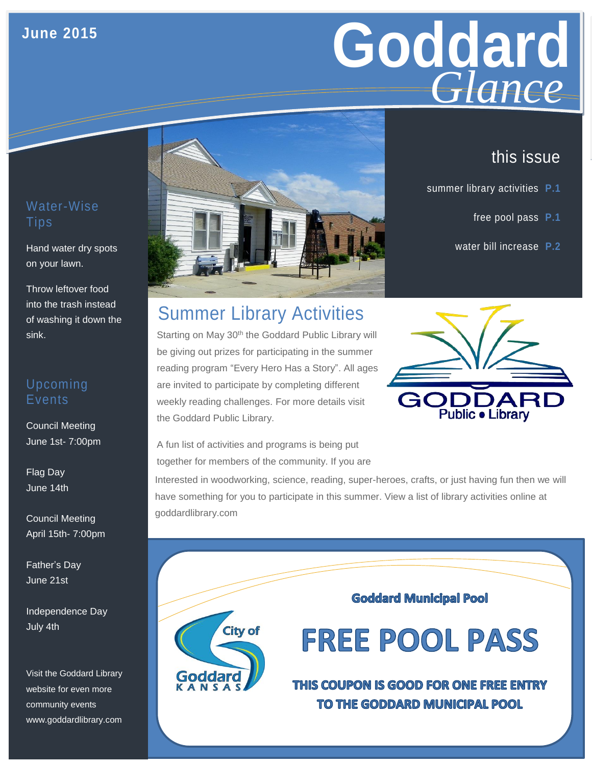#### **June 2015**

## Goddard **Giance** *Glance*

### this issue

- summer library activities **P.1**
	- free pool pass **P.1**
	- water bill increase **P.2**

#### Water-Wise Tips

Hand water dry spots on your lawn.

Throw leftover food into the trash instead of washing it down the sink.

#### Upcoming Events

Council Meeting June 1st- 7:00pm

Flag Day June 14th

Council Meeting April 15th- 7:00pm

Father's Day June 21st

Independence Day July 4th

Visit the Goddard Library website for even more community events www.goddardlibrary.com





Summer Library Activities

Starting on May 30<sup>th</sup> the Goddard Public Library will be giving out prizes for participating in the summer reading program "Every Hero Has a Story". All ages are invited to participate by completing different weekly reading challenges. For more details visit the Goddard Public Library.

A fun list of activities and programs is being put together for members of the community. If you are

Interested in woodworking, science, reading, super-heroes, crafts, or just having fun then we will have something for you to participate in this summer. View a list of library activities online at goddardlibrary.com



**Goddard Municipal Pool** 

**FREE POOL PASS** 

THIS COUPON IS GOOD FOR ONE FREE ENTRY TO THE GODDARD MUNICIPAL POOL